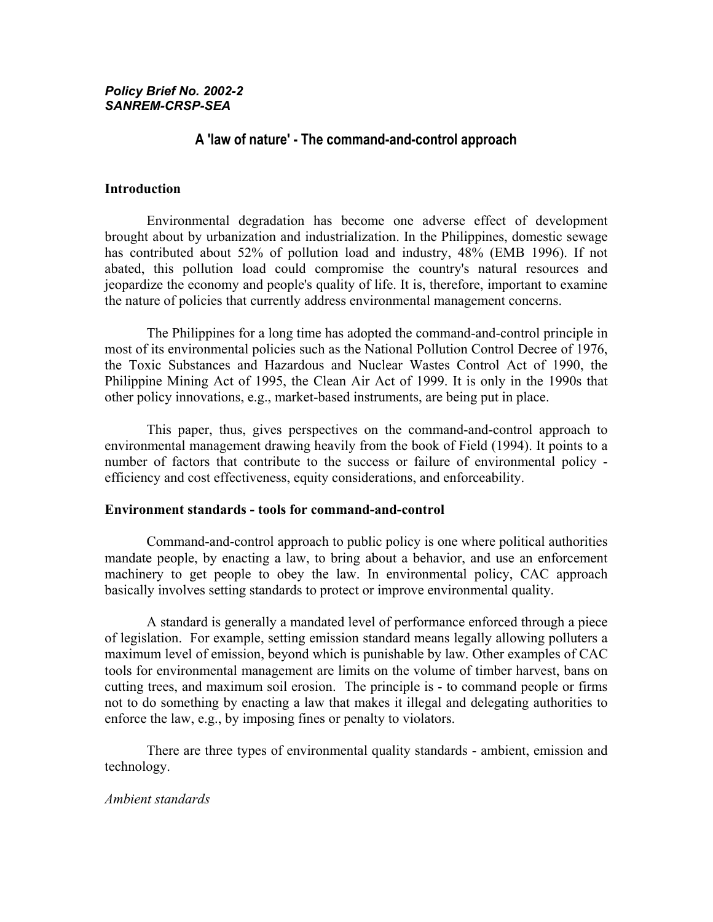# *Policy Brief No. 2002-2 SANREM-CRSP-SEA*

# **A 'law of nature' - The command-and-control approach**

#### **Introduction**

 Environmental degradation has become one adverse effect of development brought about by urbanization and industrialization. In the Philippines, domestic sewage has contributed about 52% of pollution load and industry, 48% (EMB 1996). If not abated, this pollution load could compromise the country's natural resources and jeopardize the economy and people's quality of life. It is, therefore, important to examine the nature of policies that currently address environmental management concerns.

The Philippines for a long time has adopted the command-and-control principle in most of its environmental policies such as the National Pollution Control Decree of 1976, the Toxic Substances and Hazardous and Nuclear Wastes Control Act of 1990, the Philippine Mining Act of 1995, the Clean Air Act of 1999. It is only in the 1990s that other policy innovations, e.g., market-based instruments, are being put in place.

This paper, thus, gives perspectives on the command-and-control approach to environmental management drawing heavily from the book of Field (1994). It points to a number of factors that contribute to the success or failure of environmental policy efficiency and cost effectiveness, equity considerations, and enforceability.

#### **Environment standards - tools for command-and-control**

 Command-and-control approach to public policy is one where political authorities mandate people, by enacting a law, to bring about a behavior, and use an enforcement machinery to get people to obey the law. In environmental policy, CAC approach basically involves setting standards to protect or improve environmental quality.

A standard is generally a mandated level of performance enforced through a piece of legislation. For example, setting emission standard means legally allowing polluters a maximum level of emission, beyond which is punishable by law. Other examples of CAC tools for environmental management are limits on the volume of timber harvest, bans on cutting trees, and maximum soil erosion. The principle is - to command people or firms not to do something by enacting a law that makes it illegal and delegating authorities to enforce the law, e.g., by imposing fines or penalty to violators.

 There are three types of environmental quality standards - ambient, emission and technology.

### *Ambient standards*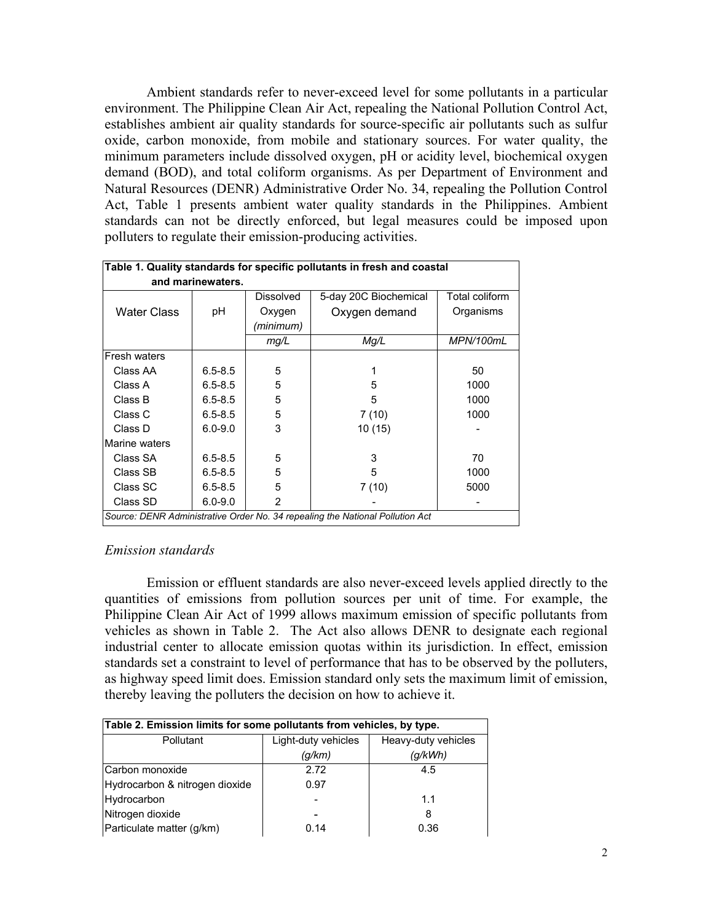Ambient standards refer to never-exceed level for some pollutants in a particular environment. The Philippine Clean Air Act, repealing the National Pollution Control Act, establishes ambient air quality standards for source-specific air pollutants such as sulfur oxide, carbon monoxide, from mobile and stationary sources. For water quality, the minimum parameters include dissolved oxygen, pH or acidity level, biochemical oxygen demand (BOD), and total coliform organisms. As per Department of Environment and Natural Resources (DENR) Administrative Order No. 34, repealing the Pollution Control Act, Table 1 presents ambient water quality standards in the Philippines. Ambient standards can not be directly enforced, but legal measures could be imposed upon polluters to regulate their emission-producing activities.

| Table 1. Quality standards for specific pollutants in fresh and coastal       |             |                  |                       |                |  |
|-------------------------------------------------------------------------------|-------------|------------------|-----------------------|----------------|--|
| and marinewaters.                                                             |             |                  |                       |                |  |
|                                                                               |             | <b>Dissolved</b> | 5-day 20C Biochemical | Total coliform |  |
| Water Class                                                                   | рH          | Oxygen           | Oxygen demand         | Organisms      |  |
|                                                                               |             | (minimum)        |                       |                |  |
|                                                                               |             | mg/L             | Mg/L                  | MPN/100mL      |  |
| Fresh waters                                                                  |             |                  |                       |                |  |
| Class AA                                                                      | $6.5 - 8.5$ | 5                |                       | 50             |  |
| Class A                                                                       | $6.5 - 8.5$ | 5                | 5                     | 1000           |  |
| Class B                                                                       | $6.5 - 8.5$ | 5                | 5                     | 1000           |  |
| Class C                                                                       | $6.5 - 8.5$ | 5                | 7(10)                 | 1000           |  |
| Class D                                                                       | $6.0 - 9.0$ | 3                | 10 (15)               |                |  |
| Marine waters                                                                 |             |                  |                       |                |  |
| Class SA                                                                      | $6.5 - 8.5$ | 5                | 3                     | 70             |  |
| Class SB                                                                      | $6.5 - 8.5$ | 5                | 5                     | 1000           |  |
| Class SC                                                                      | $6.5 - 8.5$ | 5                | 7(10)                 | 5000           |  |
| Class SD                                                                      | $6.0 - 9.0$ | 2                |                       |                |  |
| Source: DENR Administrative Order No. 34 repealing the National Pollution Act |             |                  |                       |                |  |

# *Emission standards*

 Emission or effluent standards are also never-exceed levels applied directly to the quantities of emissions from pollution sources per unit of time. For example, the Philippine Clean Air Act of 1999 allows maximum emission of specific pollutants from vehicles as shown in Table 2. The Act also allows DENR to designate each regional industrial center to allocate emission quotas within its jurisdiction. In effect, emission standards set a constraint to level of performance that has to be observed by the polluters, as highway speed limit does. Emission standard only sets the maximum limit of emission, thereby leaving the polluters the decision on how to achieve it.

| Table 2. Emission limits for some pollutants from vehicles, by type. |                     |                     |  |  |  |
|----------------------------------------------------------------------|---------------------|---------------------|--|--|--|
| Pollutant                                                            | Light-duty vehicles | Heavy-duty vehicles |  |  |  |
|                                                                      | (q/km)              | (g/kWh)             |  |  |  |
| Carbon monoxide                                                      | 2.72                | 4.5                 |  |  |  |
| Hydrocarbon & nitrogen dioxide                                       | 0.97                |                     |  |  |  |
| Hydrocarbon                                                          |                     | 1.1                 |  |  |  |
| Nitrogen dioxide                                                     |                     | 8                   |  |  |  |
| Particulate matter (g/km)                                            | 0.14                | 0.36                |  |  |  |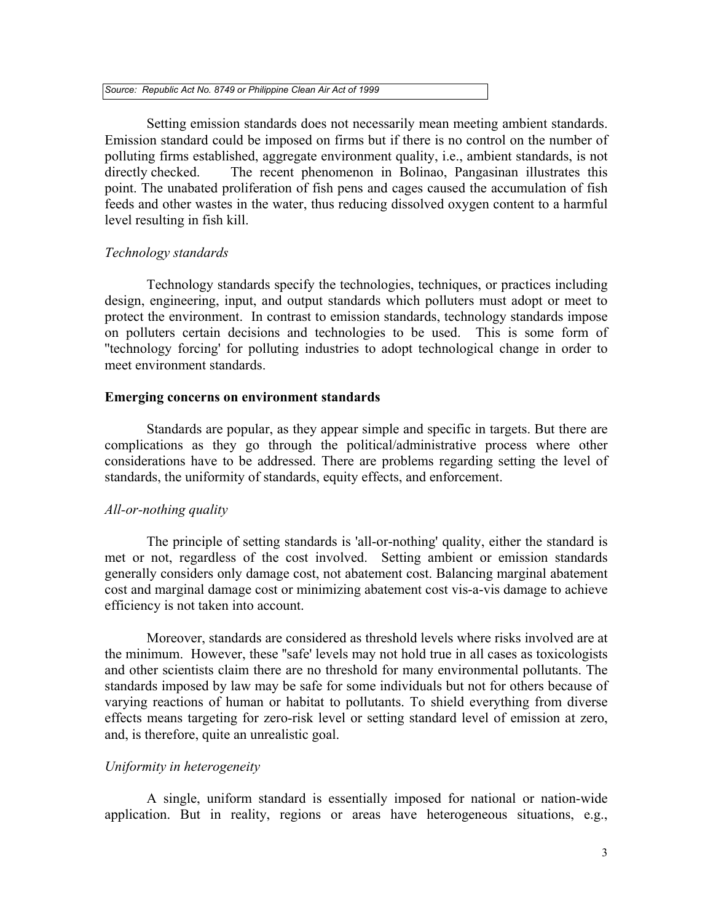*Source: Republic Act No. 8749 or Philippine Clean Air Act of 1999* 

 Setting emission standards does not necessarily mean meeting ambient standards. Emission standard could be imposed on firms but if there is no control on the number of polluting firms established, aggregate environment quality, i.e., ambient standards, is not directly checked. The recent phenomenon in Bolinao, Pangasinan illustrates this point. The unabated proliferation of fish pens and cages caused the accumulation of fish feeds and other wastes in the water, thus reducing dissolved oxygen content to a harmful level resulting in fish kill.

### *Technology standards*

 Technology standards specify the technologies, techniques, or practices including design, engineering, input, and output standards which polluters must adopt or meet to protect the environment. In contrast to emission standards, technology standards impose on polluters certain decisions and technologies to be used. This is some form of ''technology forcing' for polluting industries to adopt technological change in order to meet environment standards.

#### **Emerging concerns on environment standards**

 Standards are popular, as they appear simple and specific in targets. But there are complications as they go through the political/administrative process where other considerations have to be addressed. There are problems regarding setting the level of standards, the uniformity of standards, equity effects, and enforcement.

### *All-or-nothing quality*

 The principle of setting standards is 'all-or-nothing' quality, either the standard is met or not, regardless of the cost involved. Setting ambient or emission standards generally considers only damage cost, not abatement cost. Balancing marginal abatement cost and marginal damage cost or minimizing abatement cost vis-a-vis damage to achieve efficiency is not taken into account.

Moreover, standards are considered as threshold levels where risks involved are at the minimum. However, these ''safe' levels may not hold true in all cases as toxicologists and other scientists claim there are no threshold for many environmental pollutants. The standards imposed by law may be safe for some individuals but not for others because of varying reactions of human or habitat to pollutants. To shield everything from diverse effects means targeting for zero-risk level or setting standard level of emission at zero, and, is therefore, quite an unrealistic goal.

# *Uniformity in heterogeneity*

A single, uniform standard is essentially imposed for national or nation-wide application. But in reality, regions or areas have heterogeneous situations, e.g.,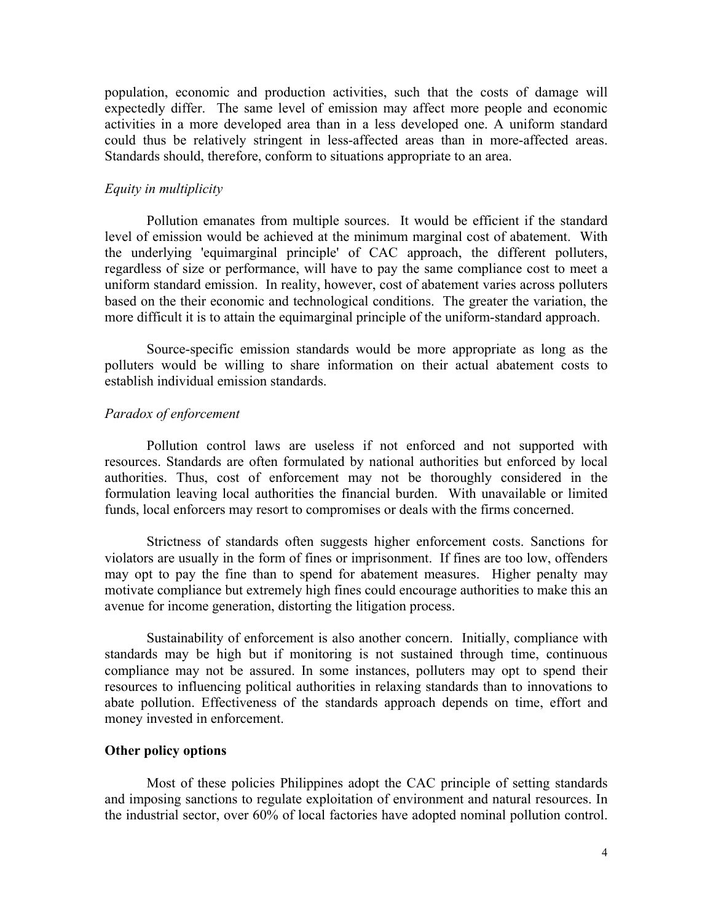population, economic and production activities, such that the costs of damage will expectedly differ. The same level of emission may affect more people and economic activities in a more developed area than in a less developed one. A uniform standard could thus be relatively stringent in less-affected areas than in more-affected areas. Standards should, therefore, conform to situations appropriate to an area.

# *Equity in multiplicity*

Pollution emanates from multiple sources. It would be efficient if the standard level of emission would be achieved at the minimum marginal cost of abatement. With the underlying 'equimarginal principle' of CAC approach, the different polluters, regardless of size or performance, will have to pay the same compliance cost to meet a uniform standard emission. In reality, however, cost of abatement varies across polluters based on the their economic and technological conditions. The greater the variation, the more difficult it is to attain the equimarginal principle of the uniform-standard approach.

 Source-specific emission standards would be more appropriate as long as the polluters would be willing to share information on their actual abatement costs to establish individual emission standards.

#### *Paradox of enforcement*

 Pollution control laws are useless if not enforced and not supported with resources. Standards are often formulated by national authorities but enforced by local authorities. Thus, cost of enforcement may not be thoroughly considered in the formulation leaving local authorities the financial burden. With unavailable or limited funds, local enforcers may resort to compromises or deals with the firms concerned.

 Strictness of standards often suggests higher enforcement costs. Sanctions for violators are usually in the form of fines or imprisonment. If fines are too low, offenders may opt to pay the fine than to spend for abatement measures. Higher penalty may motivate compliance but extremely high fines could encourage authorities to make this an avenue for income generation, distorting the litigation process.

 Sustainability of enforcement is also another concern. Initially, compliance with standards may be high but if monitoring is not sustained through time, continuous compliance may not be assured. In some instances, polluters may opt to spend their resources to influencing political authorities in relaxing standards than to innovations to abate pollution. Effectiveness of the standards approach depends on time, effort and money invested in enforcement.

# **Other policy options**

 Most of these policies Philippines adopt the CAC principle of setting standards and imposing sanctions to regulate exploitation of environment and natural resources. In the industrial sector, over 60% of local factories have adopted nominal pollution control.